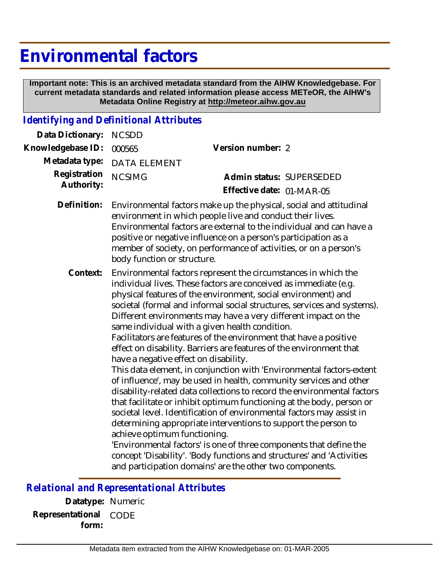## **Environmental factors**

 **Important note: This is an archived metadata standard from the AIHW Knowledgebase. For current metadata standards and related information please access METeOR, the AIHW's Metadata Online Registry at http://meteor.aihw.gov.au**

## *Identifying and Definitional Attributes*

| Data Dictionary:           | <b>NCSDD</b>                                                                                                                                                                                                                                                                                                                                                                                                                                                                                                                                                                                                                                                                                                                                                                                                                                                                                                                                                                                                                                                                                                                                                                                                                                                                    |                           |  |
|----------------------------|---------------------------------------------------------------------------------------------------------------------------------------------------------------------------------------------------------------------------------------------------------------------------------------------------------------------------------------------------------------------------------------------------------------------------------------------------------------------------------------------------------------------------------------------------------------------------------------------------------------------------------------------------------------------------------------------------------------------------------------------------------------------------------------------------------------------------------------------------------------------------------------------------------------------------------------------------------------------------------------------------------------------------------------------------------------------------------------------------------------------------------------------------------------------------------------------------------------------------------------------------------------------------------|---------------------------|--|
| Knowledgebase ID:          | 000565                                                                                                                                                                                                                                                                                                                                                                                                                                                                                                                                                                                                                                                                                                                                                                                                                                                                                                                                                                                                                                                                                                                                                                                                                                                                          | Version number: 2         |  |
| Metadata type:             | <b>DATA ELEMENT</b>                                                                                                                                                                                                                                                                                                                                                                                                                                                                                                                                                                                                                                                                                                                                                                                                                                                                                                                                                                                                                                                                                                                                                                                                                                                             |                           |  |
| Registration<br>Authority: | <b>NCSIMG</b>                                                                                                                                                                                                                                                                                                                                                                                                                                                                                                                                                                                                                                                                                                                                                                                                                                                                                                                                                                                                                                                                                                                                                                                                                                                                   | Admin status: SUPERSEDED  |  |
|                            |                                                                                                                                                                                                                                                                                                                                                                                                                                                                                                                                                                                                                                                                                                                                                                                                                                                                                                                                                                                                                                                                                                                                                                                                                                                                                 | Effective date: 01-MAR-05 |  |
| Definition:                | Environmental factors make up the physical, social and attitudinal<br>environment in which people live and conduct their lives.<br>Environmental factors are external to the individual and can have a<br>positive or negative influence on a person's participation as a<br>member of society, on performance of activities, or on a person's<br>body function or structure.                                                                                                                                                                                                                                                                                                                                                                                                                                                                                                                                                                                                                                                                                                                                                                                                                                                                                                   |                           |  |
| Context:                   | Environmental factors represent the circumstances in which the<br>individual lives. These factors are conceived as immediate (e.g.<br>physical features of the environment, social environment) and<br>societal (formal and informal social structures, services and systems).<br>Different environments may have a very different impact on the<br>same individual with a given health condition.<br>Facilitators are features of the environment that have a positive<br>effect on disability. Barriers are features of the environment that<br>have a negative effect on disability.<br>This data element, in conjunction with 'Environmental factors-extent<br>of influence', may be used in health, community services and other<br>disability-related data collections to record the environmental factors<br>that facilitate or inhibit optimum functioning at the body, person or<br>societal level. Identification of environmental factors may assist in<br>determining appropriate interventions to support the person to<br>achieve optimum functioning.<br>'Environmental factors' is one of three components that define the<br>concept 'Disability'. 'Body functions and structures' and 'Activities<br>and participation domains' are the other two components. |                           |  |

*Relational and Representational Attributes*

**Datatype:** Numeric **Representational** CODE  **form:**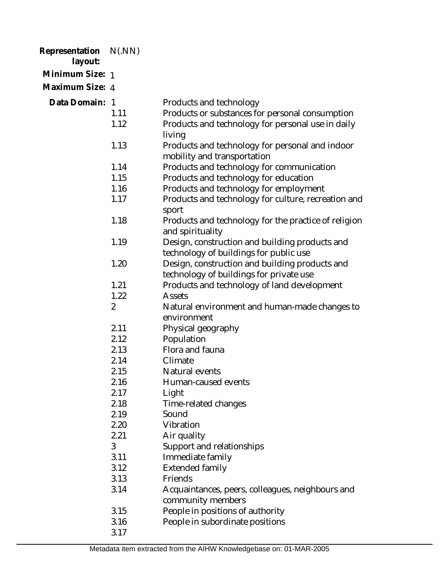| Representation N(.NN)<br>layout: |                |                                                                       |
|----------------------------------|----------------|-----------------------------------------------------------------------|
| Minimum Size: 1                  |                |                                                                       |
| Maximum Size: 4                  |                |                                                                       |
| Data Domain: 1                   |                | Products and technology                                               |
|                                  | 1.11           | Products or substances for personal consumption                       |
|                                  | 1.12           | Products and technology for personal use in daily                     |
|                                  |                | living                                                                |
|                                  | 1.13           | Products and technology for personal and indoor                       |
|                                  |                | mobility and transportation                                           |
|                                  | 1.14           | Products and technology for communication                             |
|                                  | 1.15           | Products and technology for education                                 |
|                                  | 1.16           | Products and technology for employment                                |
|                                  | 1.17           | Products and technology for culture, recreation and                   |
|                                  |                | sport                                                                 |
|                                  | 1.18           | Products and technology for the practice of religion                  |
|                                  |                | and spirituality                                                      |
|                                  | 1.19           | Design, construction and building products and                        |
|                                  |                | technology of buildings for public use                                |
|                                  | 1.20           | Design, construction and building products and                        |
|                                  |                | technology of buildings for private use                               |
|                                  | 1.21           | Products and technology of land development                           |
|                                  | 1.22           | Assets                                                                |
|                                  | $\overline{2}$ | Natural environment and human-made changes to                         |
|                                  |                | environment                                                           |
|                                  | 2.11           | Physical geography                                                    |
|                                  | 2.12           | Population                                                            |
|                                  | 2.13           | Flora and fauna                                                       |
|                                  | 2.14           | Climate                                                               |
|                                  | 2.15           | Natural events                                                        |
|                                  | 2.16           | Human-caused events                                                   |
|                                  | 2.17           | Light                                                                 |
|                                  | 2.18           | Time-related changes                                                  |
|                                  | 2.19           | Sound                                                                 |
|                                  | 2.20           | Vibration                                                             |
|                                  | 2.21           | Air quality                                                           |
|                                  | 3              | Support and relationships                                             |
|                                  | 3.11           | Immediate family                                                      |
|                                  | 3.12           | <b>Extended family</b>                                                |
|                                  | 3.13           | Friends                                                               |
|                                  | 3.14           | Acquaintances, peers, colleagues, neighbours and<br>community members |
|                                  | 3.15           | People in positions of authority                                      |
|                                  | 3.16           | People in subordinate positions                                       |
|                                  | 3.17           |                                                                       |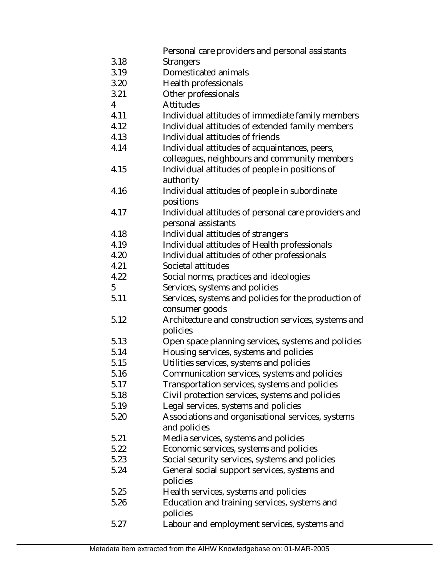3.18 3.19 3.20 3.21 4 4.11 4.12 4.13 4.14 4.15 4.16 4.17 4.18 4.19 4.20 4.21 4.22 5 5.11 5.12 5.13 5.14 5.15 5.16 5.17 5.18 5.19 5.20 5.21 5.22 5.23 5.24 5.25 5.26 5.27 Personal care providers and personal assistants **Strangers** Domesticated animals Health professionals Other professionals Attitudes Individual attitudes of immediate family members Individual attitudes of extended family members Individual attitudes of friends Individual attitudes of acquaintances, peers, colleagues, neighbours and community members Individual attitudes of people in positions of authority Individual attitudes of people in subordinate positions Individual attitudes of personal care providers and personal assistants Individual attitudes of strangers Individual attitudes of Health professionals Individual attitudes of other professionals Societal attitudes Social norms, practices and ideologies Services, systems and policies Services, systems and policies for the production of consumer goods Architecture and construction services, systems and policies Open space planning services, systems and policies Housing services, systems and policies Utilities services, systems and policies Communication services, systems and policies Transportation services, systems and policies Civil protection services, systems and policies Legal services, systems and policies Associations and organisational services, systems and policies Media services, systems and policies Economic services, systems and policies Social security services, systems and policies General social support services, systems and policies Health services, systems and policies Education and training services, systems and policies Labour and employment services, systems and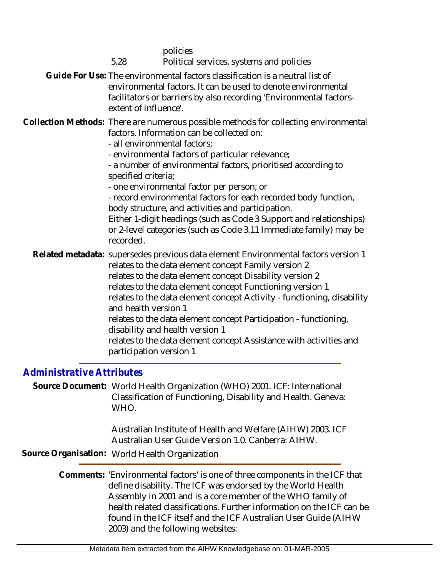| 5.28                                                                                                                                                                                                                                                                                                                                                                                                                                                                                                                                                                                                                                       | policies<br>Political services, systems and policies                                                                                                                                                                                                                                                                                                                                                                                                                                                                       |  |
|--------------------------------------------------------------------------------------------------------------------------------------------------------------------------------------------------------------------------------------------------------------------------------------------------------------------------------------------------------------------------------------------------------------------------------------------------------------------------------------------------------------------------------------------------------------------------------------------------------------------------------------------|----------------------------------------------------------------------------------------------------------------------------------------------------------------------------------------------------------------------------------------------------------------------------------------------------------------------------------------------------------------------------------------------------------------------------------------------------------------------------------------------------------------------------|--|
| Guide For Use: The environmental factors classification is a neutral list of<br>environmental factors. It can be used to denote environmental<br>facilitators or barriers by also recording 'Environmental factors-<br>extent of influence'.                                                                                                                                                                                                                                                                                                                                                                                               |                                                                                                                                                                                                                                                                                                                                                                                                                                                                                                                            |  |
| Collection Methods: There are numerous possible methods for collecting environmental<br>factors. Information can be collected on:<br>- all environmental factors:<br>- environmental factors of particular relevance;<br>- a number of environmental factors, prioritised according to<br>specified criteria;<br>- one environmental factor per person; or<br>- record environmental factors for each recorded body function,<br>body structure, and activities and participation.<br>Either 1-digit headings (such as Code 3 Support and relationships)<br>or 2-level categories (such as Code 3.11 Immediate family) may be<br>recorded. |                                                                                                                                                                                                                                                                                                                                                                                                                                                                                                                            |  |
| and health version 1<br>participation version 1                                                                                                                                                                                                                                                                                                                                                                                                                                                                                                                                                                                            | Related metadata: supersedes previous data element Environmental factors version 1<br>relates to the data element concept Family version 2<br>relates to the data element concept Disability version 2<br>relates to the data element concept Functioning version 1<br>relates to the data element concept Activity - functioning, disability<br>relates to the data element concept Participation - functioning,<br>disability and health version 1<br>relates to the data element concept Assistance with activities and |  |

## *Administrative Attributes*

Source Document: World Health Organization (WHO) 2001. ICF: International Classification of Functioning, Disability and Health. Geneva: WHO.

> Australian Institute of Health and Welfare (AIHW) 2003. ICF Australian User Guide Version 1.0. Canberra: AIHW.

**Source Organisation:** World Health Organization

Comments: 'Environmental factors' is one of three components in the ICF that define disability. The ICF was endorsed by the World Health Assembly in 2001 and is a core member of the WHO family of health related classifications. Further information on the ICF can be found in the ICF itself and the ICF Australian User Guide (AIHW 2003) and the following websites: